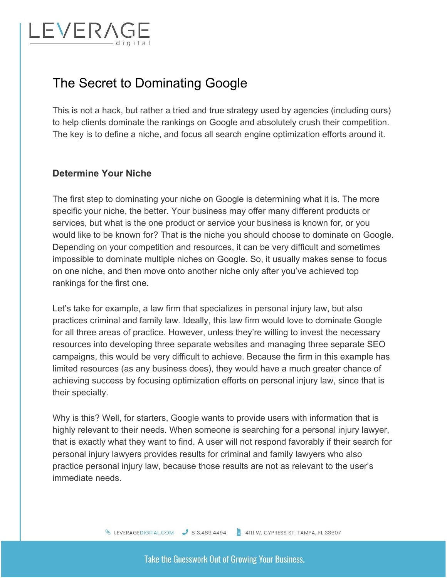# LEVERA

## The Secret to Dominating Google

This is not a hack, but rather a tried and true strategy used by agencies (including ours) to help clients dominate the rankings on Google and absolutely crush their competition. The key is to define a niche, and focus all search engine optimization efforts around it.

#### **Determine Your Niche**

The first step to dominating your niche on Google is determining what it is. The more specific your niche, the better. Your business may offer many different products or services, but what is the one product or service your business is known for, or you would like to be known for? That is the niche you should choose to dominate on Google. Depending on your competition and resources, it can be very difficult and sometimes impossible to dominate multiple niches on Google. So, it usually makes sense to focus on one niche, and then move onto another niche only after you've achieved top rankings for the first one.

Let's take for example, a law firm that specializes in personal injury law, but also practices criminal and family law. Ideally, this law firm would love to dominate Google for all three areas of practice. However, unless they're willing to invest the necessary resources into developing three separate websites and managing three separate SEO campaigns, this would be very difficult to achieve. Because the firm in this example has limited resources (as any business does), they would have a much greater chance of achieving success by focusing optimization efforts on personal injury law, since that is their specialty.

Why is this? Well, for starters, Google wants to provide users with information that is highly relevant to their needs. When someone is searching for a personal injury lawyer, that is exactly what they want to find. A user will not respond favorably if their search for personal injury lawyers provides results for criminal and family lawyers who also practice personal injury law, because those results are not as relevant to the user's immediate needs.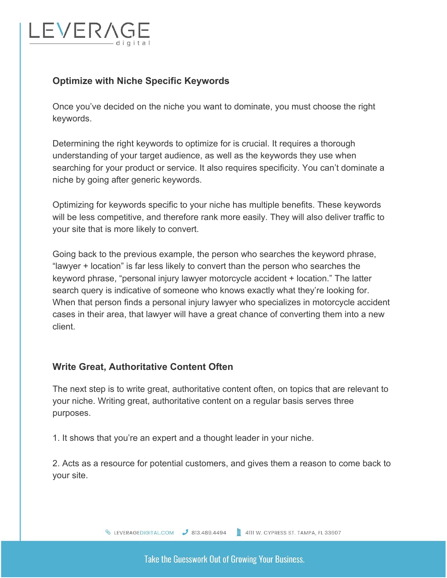# EVERA

### **Optimize with Niche Specific Keywords**

Once you've decided on the niche you want to dominate, you must choose the right keywords.

Determining the right keywords to optimize for is crucial. It requires a thorough understanding of your target audience, as well as the keywords they use when searching for your product or service. It also requires specificity. You can't dominate a niche by going after generic keywords.

Optimizing for keywords specific to your niche has multiple benefits. These keywords will be less competitive, and therefore rank more easily. They will also deliver traffic to your site that is more likely to convert.

Going back to the previous example, the person who searches the keyword phrase, "lawyer + location" is far less likely to convert than the person who searches the keyword phrase, "personal injury lawyer motorcycle accident + location." The latter search query is indicative of someone who knows exactly what they're looking for. When that person finds a personal injury lawyer who specializes in motorcycle accident cases in their area, that lawyer will have a great chance of converting them into a new client.

#### **Write Great, Authoritative Content Often**

The next step is to write great, authoritative content often, on topics that are relevant to your niche. Writing great, authoritative content on a regular basis serves three purposes.

1. It shows that you're an expert and a thought leader in your niche.

2. Acts as a resource for potential customers, and gives them a reason to come back to your site.